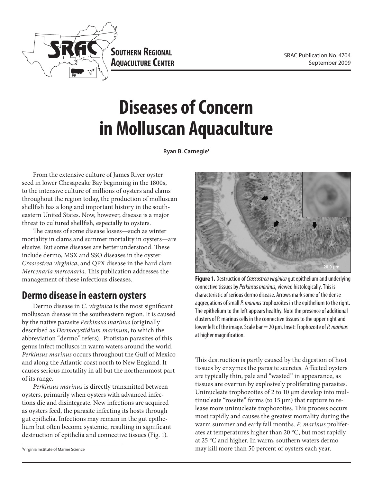

**Southern Regional AQUACULTURE CENTER** 

# **Diseases of Concern in Molluscan Aquaculture**

**Ryan B. Carnegie1**

From the extensive culture of James River oyster seed in lower Chesapeake Bay beginning in the 1800s, to the intensive culture of millions of oysters and clams throughout the region today, the production of molluscan shellfish has a long and important history in the southeastern United States. Now, however, disease is a major threat to cultured shellfish, especially to oysters.

The causes of some disease losses—such as winter mortality in clams and summer mortality in oysters—are elusive. But some diseases are better understood. These include dermo, MSX and SSO diseases in the oyster *Crassostrea virginica*, and QPX disease in the hard clam *Mercenaria mercenaria*. This publication addresses the management of these infectious diseases.

### **Dermo disease in eastern oysters**

Dermo disease in *C. virginica* is the most significant molluscan disease in the southeastern region. It is caused by the native parasite *Perkinsus marinus* (originally described as *Dermocystidium marinum*, to which the abbreviation "dermo" refers). Protistan parasites of this genus infect molluscs in warm waters around the world. *Perkinsus marinus* occurs throughout the Gulf of Mexico and along the Atlantic coast north to New England. It causes serious mortality in all but the northernmost part of its range.

*Perkinsus marinus* is directly transmitted between oysters, primarily when oysters with advanced infections die and disintegrate. New infections are acquired as oysters feed, the parasite infecting its hosts through gut epithelia. Infections may remain in the gut epithelium but often become systemic, resulting in significant destruction of epithelia and connective tissues (Fig. 1).

1 Virginia Institute of Marine Science



**Figure 1.** Destruction of *Crassostrea virginica* gut epithelium and underlying connective tissues by *Perkinsus marinus,* viewed histologically. This is characteristic of serious dermo disease. Arrows mark some of the dense aggregations of small *P. marinus* trophozoites in the epithelium to the right. The epithelium to the left appears healthy. Note the presence of additional clusters of P. marinus cells in the connective tissues to the upper right and lower left of the image. Scale bar = 20 µm. Inset: Trophozoite of *P. marinus* at higher magnification.

This destruction is partly caused by the digestion of host tissues by enzymes the parasite secretes. Affected oysters are typically thin, pale and "wasted" in appearance, as tissues are overrun by explosively proliferating parasites. Uninucleate trophozoites of 2 to 10 µm develop into multinucleate "rosette" forms (to  $15 \mu m$ ) that rupture to release more uninucleate trophozoites. This process occurs most rapidly and causes the greatest mortality during the warm summer and early fall months. *P. marinus* proliferates at temperatures higher than 20 °C, but most rapidly at 25 °C and higher. In warm, southern waters dermo may kill more than 50 percent of oysters each year.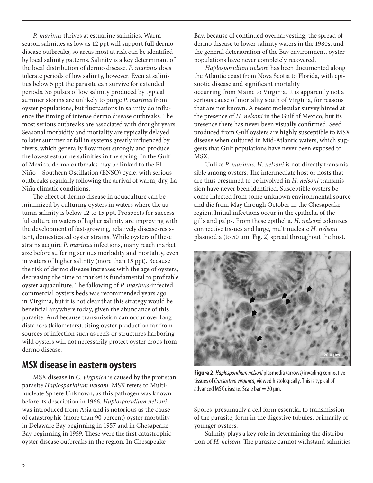*P. marinus* thrives at estuarine salinities. Warmseason salinities as low as 12 ppt will support full dermo disease outbreaks, so areas most at risk can be identified by local salinity patterns. Salinity is a key determinant of the local distribution of dermo disease. *P. marinus* does tolerate periods of low salinity, however. Even at salinities below 5 ppt the parasite can survive for extended periods. So pulses of low salinity produced by typical summer storms are unlikely to purge *P. marinus* from oyster populations, but fluctuations in salinity do influence the timing of intense dermo disease outbreaks. The most serious outbreaks are associated with drought years. Seasonal morbidity and mortality are typically delayed to later summer or fall in systems greatly influenced by rivers, which generally flow most strongly and produce the lowest estuarine salinities in the spring. In the Gulf of Mexico, dermo outbreaks may be linked to the El Niño – Southern Oscillation (ENSO) cycle, with serious outbreaks regularly following the arrival of warm, dry, La Niña climatic conditions.

The effect of dermo disease in aquaculture can be minimized by culturing oysters in waters where the autumn salinity is below 12 to 15 ppt. Prospects for successful culture in waters of higher salinity are improving with the development of fast-growing, relatively disease-resistant, domesticated oyster strains. While oysters of these strains acquire *P. marinus* infections, many reach market size before suffering serious morbidity and mortality, even in waters of higher salinity (more than 15 ppt). Because the risk of dermo disease increases with the age of oysters, decreasing the time to market is fundamental to profitable oyster aquaculture. The fallowing of *P. marinus*-infected commercial oysters beds was recommended years ago in Virginia, but it is not clear that this strategy would be beneficial anywhere today, given the abundance of this parasite. And because transmission can occur over long distances (kilometers), siting oyster production far from sources of infection such as reefs or structures harboring wild oysters will not necessarily protect oyster crops from dermo disease.

#### **MSX disease in eastern oysters**

MSX disease in *C. virginica* is caused by the protistan parasite *Haplosporidium nelsoni.* MSX refers to Multinucleate Sphere Unknown, as this pathogen was known before its description in 1966. *Haplosporidium nelsoni* was introduced from Asia and is notorious as the cause of catastrophic (more than 90 percent) oyster mortality in Delaware Bay beginning in 1957 and in Chesapeake Bay beginning in 1959. These were the first catastrophic oyster disease outbreaks in the region. In Chesapeake

Bay, because of continued overharvesting, the spread of dermo disease to lower salinity waters in the 1980s, and the general deterioration of the Bay environment, oyster populations have never completely recovered.

*Haplosporidium nelsoni* has been documented along the Atlantic coast from Nova Scotia to Florida, with epizootic disease and significant mortality occurring from Maine to Virginia. It is apparently not a serious cause of mortality south of Virginia, for reasons that are not known. A recent molecular survey hinted at the presence of *H. nelsoni* in the Gulf of Mexico, but its presence there has never been visually confirmed. Seed produced from Gulf oysters are highly susceptible to MSX disease when cultured in Mid-Atlantic waters, which suggests that Gulf populations have never been exposed to MSX.

Unlike *P. marinus*, *H. nelsoni* is not directly transmissible among oysters. The intermediate host or hosts that are thus presumed to be involved in *H. nelsoni* transmission have never been identified. Susceptible oysters become infected from some unknown environmental source and die from May through October in the Chesapeake region. Initial infections occur in the epithelia of the gills and palps. From these epithelia, *H. nelsoni* colonizes connective tissues and large, multinucleate *H. nelsoni* plasmodia (to 50 µm; Fig. 2) spread throughout the host.



**Figure 2.** *Haplosporidium nelsoni* plasmodia (arrows) invading connective tissues of *Crassostrea virginica,* viewed histologically. This is typical of advanced MSX disease. Scale bar  $=$  20  $\mu$ m.

Spores, presumably a cell form essential to transmission of the parasite, form in the digestive tubules, primarily of younger oysters.

Salinity plays a key role in determining the distribution of *H. nelsoni.* The parasite cannot withstand salinities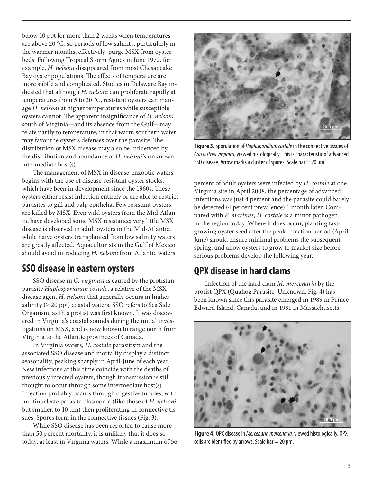below 10 ppt for more than 2 weeks when temperatures are above 20 °C, so periods of low salinity, particularly in the warmer months, effectively purge MSX from oyster beds. Following Tropical Storm Agnes in June 1972, for example, *H. nelsoni* disappeared from most Chesapeake Bay oyster populations. The effects of temperature are more subtle and complicated. Studies in Delaware Bay indicated that although *H. nelsoni* can proliferate rapidly at temperatures from 5 to 20 °C, resistant oysters can manage *H. nelsoni* at higher temperatures while susceptible oysters cannot. The apparent insignificance of *H. nelsoni*  south of Virginia—and its absence from the Gulf—may relate partly to temperature, in that warm southern water may favor the oyster's defenses over the parasite. The distribution of MSX disease may also be influenced by the distribution and abundance of *H. nelsoni*'s unknown intermediate host(s).

The management of MSX in disease-enzootic waters begins with the use of disease-resistant oyster stocks, which have been in development since the 1960s. These oysters either resist infection entirely or are able to restrict parasites to gill and palp epithelia. Few resistant oysters are killed by MSX. Even wild oysters from the Mid-Atlantic have developed some MSX resistance; very little MSX disease is observed in adult oysters in the Mid-Atlantic, while naïve oysters transplanted from low salinity waters are greatly affected. Aquaculturists in the Gulf of Mexico should avoid introducing *H. nelsoni* from Atlantic waters.

### **SSO disease in eastern oysters**

SSO disease in *C. virginica* is caused by the protistan parasite *Haplosporidium costale*, a relative of the MSX disease agent *H. nelsoni* that generally occurs in higher salinity  $(≥ 20$  ppt) coastal waters. SSO refers to Sea Side Organism, as this protist was first known. It was discovered in Virginia's coastal sounds during the initial investigations on MSX, and is now known to range north from Virginia to the Atlantic provinces of Canada.

In Virginia waters, *H. costale* parasitism and the associated SSO disease and mortality display a distinct seasonality, peaking sharply in April-June of each year. New infections at this time coincide with the deaths of previously infected oysters, though transmission is still thought to occur through some intermediate host(s). Infection probably occurs through digestive tubules, with multinucleate parasite plasmodia (like those of *H. nelsoni*, but smaller, to 10  $\mu$ m) then proliferating in connective tissues. Spores form in the connective tissues (Fig. 3).

While SSO disease has been reported to cause more than 50 percent mortality, it is unlikely that it does so today, at least in Virginia waters. While a maximum of 56



**Figure 3.** Sporulation of *Haplosporidium costale* in the connective tissues of *Crassostrea virginica,* viewed histologically. This is characteristic of advanced SSO disease. Arrow marks a cluster of spores. Scale bar  $=$  20  $\mu$ m.

percent of adult oysters were infected by *H. costale* at one Virginia site in April 2008, the percentage of advanced infections was just 4 percent and the parasite could barely be detected (4 percent prevalence) 1 month later. Compared with *P. marinus*, *H. costale* is a minor pathogen in the region today. Where it does occur, planting fastgrowing oyster seed after the peak infection period (April-June) should ensure minimal problems the subsequent spring, and allow oysters to grow to market size before serious problems develop the following year.

### **QPX disease in hard clams**

Infection of the hard clam *M. mercenaria* by the protist QPX (Quahog Parasite Unknown, Fig. 4) has been known since this parasite emerged in 1989 in Prince Edward Island, Canada, and in 1991 in Massachusetts.



**Figure 4.** QPX disease in *Mercenaria mercenaria,* viewed histologically. QPX cells are identified by arrows. Scale bar  $=$  20  $\mu$ m.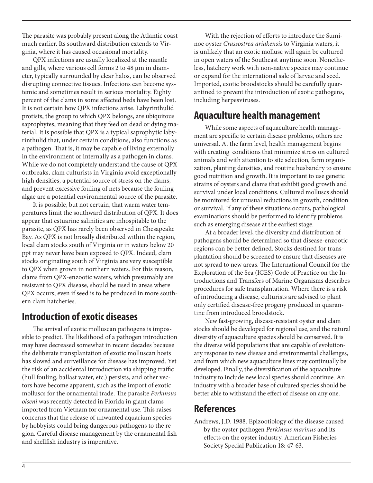The parasite was probably present along the Atlantic coast much earlier. Its southward distribution extends to Virginia, where it has caused occasional mortality.

QPX infections are usually localized at the mantle and gills, where various cell forms 2 to 48 µm in diameter, typically surrounded by clear halos, can be observed disrupting connective tissues. Infections can become systemic and sometimes result in serious mortality. Eighty percent of the clams in some affected beds have been lost. It is not certain how QPX infections arise. Labyrinthulid protists, the group to which QPX belongs, are ubiquitous saprophytes, meaning that they feed on dead or dying material. It is possible that QPX is a typical saprophytic labyrinthulid that, under certain conditions, also functions as a pathogen. That is, it may be capable of living externally in the environment or internally as a pathogen in clams. While we do not completely understand the cause of QPX outbreaks, clam culturists in Virginia avoid exceptionally high densities, a potential source of stress on the clams, and prevent excessive fouling of nets because the fouling algae are a potential environmental source of the parasite.

It is possible, but not certain, that warm water temperatures limit the southward distribution of QPX. It does appear that estuarine salinities are inhospitable to the parasite, as QPX has rarely been observed in Chesapeake Bay. As QPX is not broadly distributed within the region, local clam stocks south of Virginia or in waters below 20 ppt may never have been exposed to QPX. Indeed, clam stocks originating south of Virginia are very susceptible to QPX when grown in northern waters. For this reason, clams from QPX-enzootic waters, which presumably are resistant to QPX disease, should be used in areas where QPX occurs, even if seed is to be produced in more southern clam hatcheries.

### **Introduction of exotic diseases**

The arrival of exotic molluscan pathogens is impossible to predict. The likelihood of a pathogen introduction may have decreased somewhat in recent decades because the deliberate transplantation of exotic molluscan hosts has slowed and surveillance for disease has improved. Yet the risk of an accidental introduction via shipping traffic (hull fouling, ballast water, etc.) persists, and other vectors have become apparent, such as the import of exotic molluscs for the ornamental trade. The parasite *Perkinsus olseni* was recently detected in Florida in giant clams imported from Vietnam for ornamental use. This raises concerns that the release of unwanted aquarium species by hobbyists could bring dangerous pathogens to the region. Careful disease management by the ornamental fish and shellfish industry is imperative.

With the rejection of efforts to introduce the Suminoe oyster *Crassostrea ariakensis* to Virginia waters, it is unlikely that an exotic mollusc will again be cultured in open waters of the Southeast anytime soon. Nonetheless, hatchery work with non-native species may continue or expand for the international sale of larvae and seed. Imported, exotic broodstocks should be carefully quarantined to prevent the introduction of exotic pathogens, including herpesviruses.

#### **Aquaculture health management**

While some aspects of aquaculture health management are specific to certain disease problems, others are universal. At the farm level, health management begins with creating conditions that minimize stress on cultured animals and with attention to site selection, farm organization, planting densities, and routine husbandry to ensure good nutrition and growth. It is important to use genetic strains of oysters and clams that exhibit good growth and survival under local conditions. Cultured molluscs should be monitored for unusual reductions in growth, condition or survival. If any of these situations occurs, pathological examinations should be performed to identify problems such as emerging disease at the earliest stage.

At a broader level, the diversity and distribution of pathogens should be determined so that disease-enzootic regions can be better defined. Stocks destined for transplantation should be screened to ensure that diseases are not spread to new areas. The International Council for the Exploration of the Sea (ICES) Code of Practice on the Introductions and Transfers of Marine Organisms describes procedures for safe transplantation. Where there is a risk of introducing a disease, culturists are advised to plant only certified disease-free progeny produced in quarantine from introduced broodstock.

New fast-growing, disease-resistant oyster and clam stocks should be developed for regional use, and the natural diversity of aquaculture species should be conserved. It is the diverse wild populations that are capable of evolutionary response to new disease and environmental challenges, and from which new aquaculture lines may continually be developed. Finally, the diversification of the aquaculture industry to include new local species should continue. An industry with a broader base of cultured species should be better able to withstand the effect of disease on any one.

## **References**

Andrews, J.D. 1988. Epizootiology of the disease caused by the oyster pathogen *Perkinsus marinus* and its effects on the oyster industry. American Fisheries Society Special Publication 18: 47-63.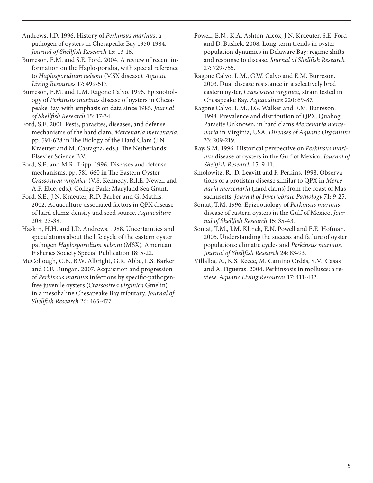Andrews, J.D. 1996. History of *Perkinsus marinus*, a pathogen of oysters in Chesapeake Bay 1950-1984. *Journal of Shellfish Research* 15: 13-16.

Burreson, E.M. and S.E. Ford. 2004. A review of recent information on the Haplosporidia, with special reference to *Haplosporidium nelsoni* (MSX disease). *Aquatic Living Resources* 17: 499-517.

Burreson, E.M. and L.M. Ragone Calvo. 1996. Epizootiology of *Perkinsus marinus* disease of oysters in Chesapeake Bay, with emphasis on data since 1985. *Journal of Shellfish Research* 15: 17-34.

Ford, S.E. 2001. Pests, parasites, diseases, and defense mechanisms of the hard clam, *Mercenaria mercenaria.* pp. 591-628 in The Biology of the Hard Clam (J.N. Kraeuter and M. Castagna, eds.). The Netherlands: Elsevier Science B.V.

Ford, S.E. and M.R. Tripp. 1996. Diseases and defense mechanisms. pp. 581-660 in The Eastern Oyster *Crassostrea virginica* (V.S. Kennedy, R.I.E. Newell and A.F. Eble, eds.). College Park: Maryland Sea Grant.

Ford, S.E., J.N. Kraeuter, R.D. Barber and G. Mathis. 2002. Aquaculture-associated factors in QPX disease of hard clams: density and seed source. *Aquaculture* 208: 23-38.

Haskin, H.H. and J.D. Andrews. 1988. Uncertainties and speculations about the life cycle of the eastern oyster pathogen *Haplosporidium nelsoni* (MSX). American Fisheries Society Special Publication 18: 5-22.

McCollough, C.B., B.W. Albright, G.R. Abbe, L.S. Barker and C.F. Dungan. 2007. Acquisition and progression of *Perkinsus marinus* infections by specific-pathogenfree juvenile oysters (*Crassostrea virginica* Gmelin) in a mesohaline Chesapeake Bay tributary. *Journal of Shellfish Research* 26: 465-477.

Powell, E.N., K.A. Ashton-Alcox, J.N. Kraeuter, S.E. Ford and D. Bushek. 2008. Long-term trends in oyster population dynamics in Delaware Bay: regime shifts and response to disease. *Journal of Shellfish Research*  27: 729-755.

Ragone Calvo, L.M., G.W. Calvo and E.M. Burreson. 2003. Dual disease resistance in a selectively bred eastern oyster, *Crassostrea virginica*, strain tested in Chesapeake Bay. *Aquaculture* 220: 69-87.

Ragone Calvo, L.M., J.G. Walker and E.M. Burreson. 1998. Prevalence and distribution of QPX, Quahog Parasite Unknown, in hard clams *Mercenaria mercenaria* in Virginia, USA. *Diseases of Aquatic Organisms*  33: 209-219.

Ray, S.M. 1996. Historical perspective on *Perkinsus marinus* disease of oysters in the Gulf of Mexico. *Journal of Shellfish Research* 15: 9-11.

Smolowitz, R., D. Leavitt and F. Perkins. 1998. Observations of a protistan disease similar to QPX in *Mercenaria mercenaria* (hard clams) from the coast of Massachusetts. *Journal of Invertebrate Pathology* 71: 9-25.

Soniat, T.M. 1996. Epizootiology of *Perkinsus marinus* disease of eastern oysters in the Gulf of Mexico. *Journal of Shellfish Research* 15: 35-43.

Soniat, T.M., J.M. Klinck, E.N. Powell and E.E. Hofman. 2005. Understanding the success and failure of oyster populations: climatic cycles and *Perkinsus marinus. Journal of Shellfish Research* 24: 83-93.

Villalba, A., K.S. Reece, M. Camino Ordás, S.M. Casas and A. Figueras. 2004. Perkinsosis in molluscs: a review. *Aquatic Living Resources* 17: 411-432.